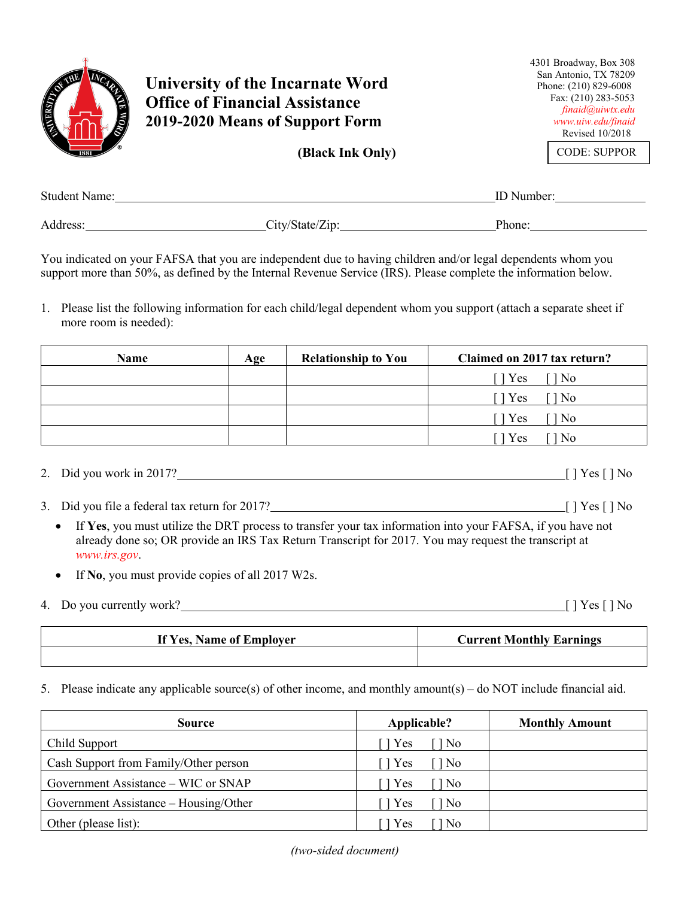

You indicated on your FAFSA that you are independent due to having children and/or legal dependents whom you support more than 50%, as defined by the Internal Revenue Service (IRS). Please complete the information below.

1. Please list the following information for each child/legal dependent whom you support (attach a separate sheet if more room is needed):

| Name | Age | <b>Relationship to You</b> | Claimed on 2017 tax return?                 |
|------|-----|----------------------------|---------------------------------------------|
|      |     |                            | Yes<br>No.                                  |
|      |     |                            | $\lceil \cdot \rceil$ Yes<br>N <sub>o</sub> |
|      |     |                            | Yes<br>N <sub>o</sub>                       |
|      |     |                            | Yes<br>No                                   |

- 2. Did you work in 2017?
- 3. Did you file a federal tax return for 2017?
	- If **Yes**, you must utilize the DRT process to transfer your tax information into your FAFSA, if you have not already done so; OR provide an IRS Tax Return Transcript for 2017. You may request the transcript at *www.irs.gov*.
	- If **No**, you must provide copies of all 2017 W2s.
- 4. Do you currently work?  $\qquad \qquad \qquad \qquad$  [ ] Yes [ ] No

| If Yes, Name of Employer | <b>Current Monthly Earnings</b> |
|--------------------------|---------------------------------|
|                          |                                 |

5. Please indicate any applicable source(s) of other income, and monthly amount(s) – do NOT include financial aid.

| <b>Source</b>                         | Applicable?    | <b>Monthly Amount</b> |
|---------------------------------------|----------------|-----------------------|
| Child Support                         | l Yes<br>1 No  |                       |
| Cash Support from Family/Other person | TYes<br>$\log$ |                       |
| Government Assistance – WIC or SNAP   | Yes<br>1 No    |                       |
| Government Assistance – Housing/Other | Yes<br>1 No    |                       |
| Other (please list):                  | Yes<br>l No    |                       |